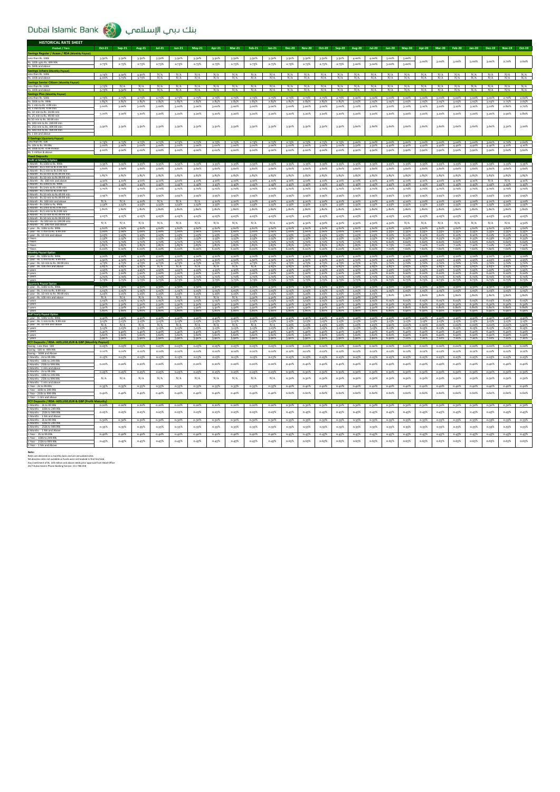| <b>HISTORICAL RATE SHEET</b>                                                                       |                      |                               |                |                            |                |                |                               |                         |                               |                |                   |                               |                              |                   |                    |                |                         |                                                                            |                |                    |                      |                      |                      |                         |                         |
|----------------------------------------------------------------------------------------------------|----------------------|-------------------------------|----------------|----------------------------|----------------|----------------|-------------------------------|-------------------------|-------------------------------|----------------|-------------------|-------------------------------|------------------------------|-------------------|--------------------|----------------|-------------------------|----------------------------------------------------------------------------|----------------|--------------------|----------------------|----------------------|----------------------|-------------------------|-------------------------|
| Product / Tiers                                                                                    | Oct-21               | $Sep-21$                      | Aug-21         | $Jul-21$                   | $Jun-21$       | $May-21$       | Apr-21                        | $Mar-21$                | Feb-21                        | $Jan-21$       | Dec-20            | <b>Nov-20</b>                 | Oct-20                       | $Sep-20$          | Aug-20             | $Jul-20$       | $Jun-20$                | $May-20$                                                                   | Apr-20         | $Mar-20$           | <b>Feb-20</b>        | $Jan-20$             | Dec-19               | $Nov-19$                | Oct-19                  |
| Savings Regular / Asaan / RDA (N<br>Less than Rs. 100k                                             | 3.50%                | 3.50%                         | 3.50%          | 3.50%                      | 3.50%          | 3.50%          | 3.50%                         | 3.50%                   | 3.50%                         | 3.50%          | 3.50%             | 3.50%                         | 3.50%                        | 3.50%             | 4.00%              | 4.00%          | 5,00%                   | 5,00%                                                                      |                |                    |                      |                      |                      |                         |                         |
| Rs. 100k upto Rs. 499.99k                                                                          | 2.75%                | 2.75%                         | 2.75%          | 2.75%                      | 2.75%          | 2.75%          | 2.75%                         | 2.75%                   | 2.75%                         | 2.75%          | 2.75%             | 2.75%                         | 2.75%                        | 2.75%             | 3.00%              | 3.00%          | 3.00%                   | 3.00%                                                                      | 3.00%          | 3.00%              | 3.00%                | 3.00%                | 3.00%                | 2.70%                   | 2.60%                   |
| Rs. 500k and a<br><b>Savings Johara (M</b>                                                         |                      |                               |                |                            |                |                |                               |                         |                               |                |                   |                               |                              |                   |                    |                |                         |                                                                            |                |                    |                      |                      |                      |                         |                         |
| Less than Rs. 100k                                                                                 | 3.75%<br>4.00%       | 3.50%                         | 3.50%          | N/A<br>N/A                 | N/A<br>N/A     | N/A            | N/A<br>N/s                    | N/A<br>$\overline{N}/s$ | N/A<br>N/A                    | N/A<br>N/A     | N/A<br>N          | N/A<br>$\overline{N}/\Lambda$ | N/A<br>$\overline{\text{N}}$ | N/A<br>N/A        | N/A<br>N/A         | N/A<br>N/A     | N/A<br>$\overline{N/A}$ | N/A<br>N/A                                                                 | N/A<br>N/A     | N/A<br>N/A         | N/A<br>N/A           | N/A<br>N/A           | N/A<br>N/A           | N/A<br>$\overline{N}/l$ | $\frac{N/A}{N/A}$       |
| Less than Rs. 100k                                                                                 |                      | N/A                           | N/A            | N/A                        | N/A            | N/A            | N/A                           | N/A                     | N/A                           | N/A            | N/A               | N/A                           | N/A                          | N/A               | N/A                | N/A            | N/A                     | N/A                                                                        | N/A            | N/A                | N/A                  | N/A                  | N/A                  | N/A                     |                         |
| Rs. 100k and ab                                                                                    | 3.75%                |                               | N/A            | <b>M/A</b>                 | NIA            |                |                               | N/4                     | N/A                           | N/A            |                   |                               | NIA                          | N/A               | N/A                | N/A            | N/A                     | N/A                                                                        | N/A            | NIA                | NIA                  | N/4                  |                      |                         |                         |
| Less than Rs. 500k                                                                                 | 2.75%                | 2.75%                         | 2.75%          | 2.75%                      | $9.76\%$       | 2.75%          | 2.75%                         | 2.75%                   | 2.75%                         | 2.75%          | 2.75%             | 2.75%                         | $2.76\%$                     | 2.75%             | 3.00%              | 3.00%          | $3.00\%$                | $3.00\%$                                                                   | 3.00%          | 3.00%              | $3.00\%$             | 3.00%                | $3.00\%$             | 2.70%                   | 2.60%                   |
| Rs. 500k to Rs. 9991                                                                               | 2.85%<br>3.00%       | 2.85%                         | 2.85%          | 2.85%                      | 2.85%          | 2.85%          | 2.85%                         | 2.85%                   | 2.85%                         | 2.85%          | 2.85%             | 2.85%<br>3.00%                | 2.85%                        | 2.85%             | 3.05%              | 3.05%          | 3.05%                   | 3.05%                                                                      | 3.05%          | 3.05%              | 3.05%                | 3.05%                | 3.05%                | 2.75%<br>2.80%          | 2.65%<br>2.70%          |
| Rs. 5 mln to Rs. 9.99 mln<br>Rs. 10 mln to Rs. 24.99 n                                             |                      | 3.00%                         | 3.00%          | 3.00%                      | 3.00%          | 3.00%          | 3.00%                         | 3.00%                   | 3.00%                         | 3.00%          | 3.00%             |                               | 3.00%                        | 3.00%             | 3.10%              | 3.10%          | 3.10%                   | 3.10%                                                                      | 3.10%          | 3.10%              | 3.10%                | 3.10%                | 3.10%                |                         |                         |
| Rs. 25 mln to Rs. 49.99                                                                            | 3.20%                | 3.20%                         | 3.20%          | 3.20%                      | 3.20%          | 3.20%          | 3.20%                         | 3.20%                   | $3.20\%$                      | 3.20%          | 3.20%             | 3.20%                         | 3.20%                        | 3.20%             | 3.20%              | 3.20%          | 3.20%                   | 3.20%                                                                      | 3.20%          | 3.20%              | 3.20%                | 3.20%                | 3.20%                | 2.90%                   | 2.80%                   |
| Rs 50 mln to Rs. 99.99 ml<br>Rs. 100 mln to Rs. 249.99 n                                           |                      |                               |                |                            | 3.50%          |                |                               |                         |                               |                | 3.50%             |                               |                              | 3.50%             | 3.60%              | 3.60%          | 3,60%                   | 3.60%                                                                      | 3.60%          | 3.60%              | 3.60%                | 3.60%                | 3.60%                | 3.30%                   | 3.20%                   |
| Rs. 250 mln to Rs. 499.99 ml<br>Rs. 500 mln to Rs. 999.99 ml                                       | 3.50%                | 3.50%                         | 3.50%          | 3-50%                      |                | 3.50%          | 3.50%                         | 3.50%                   | 3.50%                         | 3.50%          |                   | 3.50%                         | 3.50%                        |                   |                    |                |                         |                                                                            |                |                    |                      |                      |                      |                         |                         |
| Rs. 1 bln and ab<br><b>E-Savings (Quar</b>                                                         |                      |                               |                |                            |                |                |                               |                         |                               |                |                   |                               |                              |                   |                    |                |                         |                                                                            |                |                    |                      |                      |                      |                         |                         |
| Less than Rs. 10k<br>Rs. 10k to Rs. 99.9                                                           | 2.75%<br>3.00%       | 2.75%<br>3.00%                | 3.00%          | $2.75\%$ $2.75\%$<br>3.00% | 2.75%<br>3.00% | 2.75%<br>3.00% | 2.75%<br>3.00%                | 2.75%<br>3.00%          | 2.75%<br>3.00%                | 2.75%<br>3.00% | 3.00%             | $2.75\%$ $2.75\%$<br>3.00%    | 2.75%<br>3.00%               | 3.00%             | 3.50%              | 3.50%          | 4.40%                   | 2.75% 3.00% 3.00% 3.00% 3.00% 3.00% 3.00% 3.00% 3.00% 3.00% 2.70%<br>4.40% | 4.40%          | 4.40%              | 4.40%                | 4.40%                | 4.40%                | 4.10%                   | 2.60%<br>4.10%          |
| Rs. 100k to Rs. 4.99 n<br>Rs. 5 million & abow                                                     | 4.00%                | 4.00%                         | 4.00%          | 4.00%                      | 4.00%          | 4.00%          | 4.00%                         | 4.00%                   | 4.00%                         | 4.00%          | 4.00%             | 4.00%                         | 4.00%                        | 4.00%             | 4.90%              | 4.90%          | 5.90%                   | 5.90%                                                                      | 5.90%          | 5.90%              | 5.90%                | 5.90%                | 5.90%                | 5,60%                   | 5.60%                   |
|                                                                                                    |                      |                               |                |                            |                |                |                               |                         |                               |                |                   |                               |                              |                   |                    |                |                         |                                                                            |                |                    |                      |                      |                      |                         |                         |
| <b>Profit at Maturity Option</b><br>1 Month - Rs.100k to Rs. 999                                   | 3-35%                | 3.35%                         | 3.35%          | 3.35%                      | 3.35%          | 3-35%          | $3-35%$                       | 3-35%                   | 3.35%                         | 3-35%          | $3.35\%$          | 3-35%                         | 3.35%                        | 3.35%             | $3-35%$            | $3.35\%$       | $3-35%$                 | 3.35%                                                                      | 3.35%          | 3.35%              |                      | 3.35% 3.35%          |                      | 3-35% 3-35%             | 3-35%                   |
| Rs.1 mln to Rs.4.9<br>Month - Rs.5 mln to Rs.9.99                                                  | 3.60%                | 3.60%                         | 3.60%          | 3.60%                      | 3.60%          | 3.60%          | 3.60%                         | 3.60%                   | 3.60%                         | 3.60%          | 3.60%             | 3.60%                         | 3.60%                        | 3.60%             | 3.60%              | 3.60%          | 3.60%                   | 3.60%                                                                      | 3.60%          | 3.60%              | 3.60%                | 3.60%                | 3.60%                | 3.60%                   | 3.60%                   |
| Month - Rs 10 min to Rs 49 99 m<br>1 Month - Rs.50 mln to Rs.99.99 mln                             | 3.85%                | $3.85\%$                      | $3.85\%$       | $3.85\%$                   | 3.85%          | $3.85\%$       | 3.85%                         | 3.85%                   | 3.85%                         | 3.85%          | $3.85\%$          | 3.85%                         | 3.85%                        | 3.85%             | $3.85\%$           | $3.85\%$       | $3.85\%$                | 3.85%                                                                      | $3.85\%$       | 3.85%              | 3.85%                | 3.85%                | 3.85%                | 3.85%                   | 3.85%                   |
| 3 Month - Rs.100k to Rs. 999k                                                                      | 4.10%<br>3.45%       | 4.10%<br>3.45%                | 4.10%<br>3.45% | 4.10%<br>3.45%             | 4.10%<br>3.45% | 4.10%<br>3.45% | 4.10%<br>3.45%                | 4.109<br>3.45%          | 4.10%<br>3.45%                | 4.10%<br>3.45% | 4.10%<br>3.45%    | 4.10%<br>3.45%                | 4.10%<br>3.45%               | 4.10%<br>3.45%    | 4.10%<br>3.45%     | 4.10%<br>3.45% | 4.10%<br>3.45%          | 4.10%<br>3.45%                                                             | 4.10%<br>3.45% | 4.10%<br>3.45%     | 4.10%<br>3.45%       | 4.10%<br>3.45%       | 3.45%                | N/A<br>3.45%            | 4.10%<br>3-45%          |
| 3 Month - Rs 1 mln to Rs 4 99 m<br>3 Month - Rs.5 mln to Rs.9.99 n                                 | 3.70%                | 3.70%                         | 3-70%          | 3-70%                      | 3-70%          | 3.70%          | 3.70%                         | 3.70%                   | 3.70%                         | 3-70%          | 3.70%             | 3.70%                         | 3-70%                        | 3.70%             | 3.70%              | 3-70%          | 3.70%                   | 3.70%                                                                      | 3.70%          | 3.70%              | 3.70%                | 3.70%                | 3-70%                | 3.70%                   | 3.70%                   |
| 3 Month - Rs 10 mln to Rs 49 99 (<br>3 Month - Rs.50 mln to Rs.99.99 (                             | 3-95%                | 3.95%                         | 3-95%          | 3.95%                      | 3.95%          | 3.95%          | 3-95%                         | 3-95%                   | 3-95%                         | 3.95%          | 3.95%             | 3-95%                         | 3.95%                        | 3.95%             | 3.95%              | 3.95%          | 3.95%                   | $3.95\%$                                                                   | 3.95%          | 3-95%              | 3.95%                | 3-95%                | 3.95%                | 3.95%                   | 3.95%                   |
| 3 Month - Rs. 100 mln and a<br>Aonth - Rs.100k to Rs. 995                                          | N/A<br>3.55%         | N/A<br>3.55%                  | 4.20%<br>3.55% | N/A<br>3.55%               | N/A<br>3.55%   | N/A<br>3-55%   | 4.20%<br>3.55%                | 4.20%<br>3.55%          | 4.20%<br>$3 - 55%$            | 4.20%<br>3-55% | 4.20%<br>3.55%    | 4.20%<br>$3 - 55%$            | 4.20%<br>3.55%               | 4.20%<br>3.55%    | 4.20%<br>$3 - 55%$ | 4.20%<br>3.55% | 4.20%<br>$3.55\%$       | 4.20%<br>3.55%                                                             | 4.20%<br>3.55% | 4.20%<br>$3 - 55%$ | 4.20%<br>3-55%       | 4.20%<br>3.55%       | 4.20%<br>$3.55\%$    | 4.20%<br>3.55%          | 4.20%<br>$3 - 55%$      |
| 6 Month - Rs 1mln to Rs 4.99 n                                                                     | 3.80%                | 3.80%                         | 3.80%          | 3.80%                      | 3.80%          | 3.80%          | 3.80%                         | 3.80%                   | 3.80%                         | 3.80%          | 3.80%             | 3.80%                         | 3.80%                        | 3.80%             | 3.80%              | 3.80%          | 3.80%                   | 3.80%                                                                      | 3.80%          | 3.80%              | 3.80%                | 3.80%                | 3.80%                | 3.80%                   | 3.80%                   |
| 6 Month - Rs 10 mln to Rs 49 99<br>5 Month - Rs.50 mln to Rs.99.                                   | 4.05%                | 4.05%                         | 4.05%          | 4.05%                      | 4.05%          | 4.05%          | 4.05%                         | 4.05%                   | 4.05%                         | 4.05%          | 4.05%             | 4.05%                         | 4.05%                        | 4.05%             | 4.05%              | 4.05%          | 4.05%                   | 4.05%                                                                      | 4.05%          | 4.05%              | 4.05%                | 4.05%                | 4.05%                | 4.05%                   | 4.05%                   |
| 6 Month - Rs.100 mln to 199.99 mln                                                                 | N/A                  | N/A                           | N/A            | N/A                        | N/A            | N/A            | N/A                           | N/A                     | N/A                           | N/A            | 4.30%             | 4.30%                         | 4.30%                        | 4.30%             | 4.30%              | 4.30%          | 4.30%                   | N/A                                                                        | N/A            | N/A                | N/A                  | N/A                  | N/A                  | N/A                     | 4.30%                   |
| 1 year - Rs. 100k to Rs. 999<br>1 year - Rs. 1 mln to Rs. 9.99 n                                   | 4.60%<br>5.00%       | 4.60%<br>5.00%                | 4.60%<br>5.00% | 4.60%<br>5.00%             | 4.60%<br>5.00% | 4.60%<br>5.00% | 4.60%<br>5.00%                | 4.60%<br>5.00%          | 4.60%<br>5.00%                | 4.60%<br>5.00% | 4.60%<br>5.00%    | 4.60%<br>5.00%                | 4.60%<br>5.00%               | 4.60%<br>5.00%    | 4.60%<br>5.00%     | 4.60%<br>5.00% | 4.60%<br>5.35%          | 4.60%<br>535%                                                              | 4.60%<br>5.35% | 4.60%<br>5.35%     | 4.60%<br>5.35%       | 4.60%<br>5.35%       | 4.60%<br>5-35%       | 4.60%<br>5.35%          | 4.60%<br>5-35%          |
| 1 year - Rs. 10 mln and a                                                                          | 5.25%<br>5.55%       | 5.25%<br>5.55%                | 5.25%<br>5.559 | 5.25%<br>5.559             | 5.25%<br>5.55% | 5.25%<br>5.55% | 5.25%<br>5.55%                | 5.25%<br>5.559          | 5.25%<br>5.55%                | 5.25%<br>5.55% | 5.25%<br>5.55%    | 5.25%<br>5.55%                | 5.25%<br>5.559               | 5.25%<br>5.55%    | 5.25%<br>5-55%     | 5.25%<br>5-55% | 6.10%<br>6.35%          | 6.10%<br>6.35%                                                             | 6.10%<br>6.35% | 6.10%<br>6.35%     | 6.10% 6.10%<br>6.35% | 6.35%                | 6.10%<br>6.35%       | 6.10%<br>6.35%          | 6.10%<br>6.35%          |
| 3 Years<br>5 Years                                                                                 | 5.70%<br>5.85%       | 5.70%<br>5.85%                | 5.70%<br>5.85% | 5.70%<br>5.85%             | 5.70%<br>5.85% | 5.70%<br>5.85% | 5.70%<br>5.85%                | 5.70%<br>5.85%          | 5.70%<br>5.85%                | 5.70%<br>5.85% | 5.70%<br>5.85%    | 5,70%<br>5.85%                | 5.70%<br>5.85%               | 5.70%<br>5.85%    | 5.70%<br>5.85%     | 5.70%<br>5.85% | 6.60%<br>6.75%          | 6.60%<br>7.10%                                                             | 6.60%<br>7.10% | 6.60%<br>7.10%     | 6.60%<br>7.10%       | 6.60%<br>7.10%       | 6.60%<br>7.10%       | 6.60%<br>7.10%          | 6.60%<br>7.10%          |
| 7 Years                                                                                            | 6.00%                | 6,00%                         | 6.00%          | 6.00%                      | 6.00%          | 6.00%          | 6.00%                         | 6.00%                   | 6.00%                         | 6.00%          | 6.00%             | 6.00%                         | 6.00%                        | 6.00%             | 6.00%              | 6.00%          | 7.00%                   | 7,60%                                                                      | 7.60%          | 7.60%              | 7.60%                | 7.60%                | 7.60%                | 7.60%                   | 7.60%                   |
| 1 year - Rs. 100k to Rs. 999<br>1 year - Rs. 1 mln to Rs. 9.99 mln                                 | 4.20%<br>4.50%       | 4.209<br>4.50%                | 4.205<br>4.50% | 4.20%<br>4.50%             | 4.20%<br>4.50% | 4.20%<br>4.50% | 4.20%<br>4.50%                | 4.20%<br>4.50%          | 4.209<br>4.50%                | 4.209<br>4.50% | 4.20%<br>4.50%    | 4.20%<br>4.50%                | 4.209<br>4.50%               | 4.20%<br>4.50%    | 4.20%<br>4.50%     | 4.20%<br>4.50% | 4.20%<br>4.95%          | 4.20%<br>4.95%                                                             | 4.20%<br>4.95% | 4.20%<br>4.95%     | 4.20%<br>4.95%       | 4.20%<br>4.95%       | 4.20%<br>4.95%       | 4.209<br>4.95%          | 4.209<br>4.95%          |
| 1 year - Rs. 10 mln to Rs. 99.99 ml<br>1 year - Rs. 100 mln and above                              | 4.75%<br>4.85%       | 4.75%<br>4.85%                | 4.759<br>4.85% | 4.759<br>N/A               | 4.75%<br>N/A   | 4.75%<br>N/A   | 4.75%<br>N/A                  | 4.75<br>N/A             | 4.75%<br>N/A                  | 4.75%<br>4.85% | 4.75%<br>4.85%    | 4.75%<br>4.85%                | 4.75<br>4.85%                | 4.85%             | 4.75%<br>4.85%     | 4.75%<br>4.85% | 5.70%<br>4.85%          | 5.70%<br>4.85%                                                             | 4.85%          | 4.85%              | 4.85%                | 5.70%<br>4.85%       | 4.85%                | 5.70%<br>4.85%          | 5.70%<br>4.85%          |
| 3 years                                                                                            | 4.95%<br>5.20%       | 4.95%<br>5.20%                | 4.95%<br>5.20% | 4.95%<br>5.20%             | 4.95%<br>5.20% | 4.95%<br>5.20% | 4.95%<br>5.20%                | 4.95%<br>5.20%          | 4.95%<br>5.20%                | 4.95%<br>5.20% | 4.95%<br>5.20%    | 4.95%<br>5.20%                | 4.95%<br>5.20%               | 4.95%<br>5.20%    | 4.95%<br>5.20%     | 4.95%<br>5.20% | 5.95%<br>6.20%          | 5.95%<br>6.20%                                                             | 5.95%<br>6.20% | 5-95%<br>6.20%     | 5.95%<br>6.20%       | 5.95%<br>6.20%       | 5-95%<br>6.20%       | 5.95%<br>6.20%          | 5.95%                   |
| 5 years                                                                                            | 5.70%                | 5.70%                         | 5.707          | 5-70%                      | 5.70%          | 5.70%          | 5.70%                         | 5.70%                   | 5.70%                         | 5,70%          | 5.70%             | 5.70%                         | 5,70%                        | 5.70%             | 5.70%              | 5.70%          | 6.70%                   | 6.70%                                                                      | 6.70%          | 6.70%              | 6.70%                | 6.70%                | 6.70%                | 6.70%                   | 6.20%<br>6.70%          |
| Quarterly Payout Option                                                                            |                      |                               |                |                            |                |                |                               |                         | 4.30%                         |                |                   |                               |                              |                   |                    | 4.30% 4.30%    |                         |                                                                            |                |                    |                      |                      |                      |                         | 4.30%                   |
| 1 year - Rs. 100k to Rs. 999k<br>1 year - Rs. 1 mln to Rs. 9.99 m                                  | 4.30%<br>5.05%       | 4.30%<br>5.05%                | 4.30%<br>5.05  | 4.30%<br>5.05              | 4.30%<br>5.05  | 4.30%<br>5.05  | 4.30%<br>5.05                 | 4.30%<br>5.05           | 5.05%                         | 4.30%<br>5.05  | 4.30%<br>5.057    | 4.30%<br>5.05                 | 4.30%<br>5.053               | 4.30%<br>5.05     | 5.059              | 5.05           | 4.30%<br>5.05%          | 4.30%<br>5.05%                                                             | 4.30%<br>5.05% | 4.30%<br>5.05%     | 5.059                | 4.30% 4.30%<br>5.05% | 4.30% 4.30%<br>5.05% | 5.05                    | 5.05%                   |
| 1 year - Rs. 10 mln to Rs. 99.99 r<br>1 year - Rs. 100 mln and above                               | 5.25%<br>N/A         | 5.25%<br>N/A                  | 5.25%<br>N/A   | 5.25%<br>N/A               | 5-25%<br>N/A   | 5.25%<br>N/A   | 5.25%<br>N/A                  | $5.25^{9}$<br>N/A       | 5.25%<br>5.30%                | 5.25%<br>5.30% | 5.25%<br>530%     | 5.25%<br>5.30%                | 5.25%<br>5.30%               | 5.25%<br>5.30%    | 5.25%<br>5.30%     | 5.25%<br>530%  | 5.80%                   | 5.80%                                                                      | 5.80%          | 5.80%              | 5.80%                | 5.80%                | 5.80%                | 5.80%                   | 5.80%                   |
| 2 years<br>3 years                                                                                 | 5.05%<br>5,30%       | 5.05%<br>5,30%                | 5.05%<br>5,30% | 5.05%<br>5,303             | 5.05%<br>5,30% | 5.05%<br>5,30% | 5.05%<br>5,30%                | 5.05%<br>5,30%          | 5.05%<br>5,30%                | 5.05%<br>5,30% | 5.05%<br>5,30%    | 5.05%<br>5,30%                | 5.05%<br>5,30%               | 5.05%<br>$5.30\%$ | 5.05%<br>$5.30\%$  | 5.05%<br>5,30% | 6.05%<br>6.30%          | 6.05%<br>6.20%                                                             | 6.05%          | 6.05%              | 6.05%<br>6.30%       | 6.05%<br>6.30%       | 6.05%<br>6.309       | 6.05%<br>6.30%          | 6.05%<br>6.30%          |
| 5 years                                                                                            | 5.50%<br>5.80%       | 5-50%<br>5.80%                | 5.50%<br>5.80% | 5.50%<br>5.80%             | 5.50%<br>5.80% | 5.50%<br>5.80% | 5.50%<br>5.80%                | 5.50%<br>5.80%          | 5.50%<br>5.80%                | 5.50%<br>5.80% | 5.50%<br>$5.80\%$ | 5.50%<br>5.80%                | 5.50%<br>5.80%               | 5.50%<br>5.80%    | 5.50%<br>\$80%     | 5.50%<br>5.80% | 6.50%<br>6.80%          | 6.80%<br>6.90%                                                             | 6.80%<br>6.00% | 6.80%<br>6.90%     | 6.80%<br>6.00%       | 6.80%<br>6.00%       | 6.80%<br>6.90%       | 6.80%<br>6.00%          | 6.80%<br>6.90%          |
| Half Yearly Payout Option<br>1 year - Rs. 100k to Rs. 99                                           | 4.40%                | 4.40%                         | 4.405          | 4.40%                      | 4.40%          | 4.40%          | 4.40%                         | 4.40%                   | 4.40%                         | 4.40%          | 4.40%             | 4.40%                         | 4.409                        | 4.40%             | 4.40%              | 4.40%          | 4.40%                   | 4.40%                                                                      | 4.40%          | 4.40%              | 4.40%                | 4.40%                | 4.40%                | 4.40%                   | 4.403                   |
| 1 year - Rs. 1 mln to Rs. 9.99<br>1 year - Rs. 10 mln and above                                    | 5.15%<br>N/A         | 5.15%<br>$\frac{N/A}{5.15\%}$ | 5.15%<br>N/A   | 5.15%<br>N/A               | 5.15%<br>N/A   | 5.15%<br>N/A   | 5.15%<br>$\frac{N/A}{5.15\%}$ | 5.15%<br>N/A            | 5.15%<br>$\frac{N/A}{5.15\%}$ | 5.15%<br>N/A   | 5.15%<br>5.25%    | 5.15%<br>5.25%                | 5.15%<br>5.25%               | 5.15%<br>5.25%    | $5.15\%$<br>5.25%  | 5.15%<br>5.25% | 5.15%<br>5.90%          | 5.15%<br>0.00%                                                             | 5.15%<br>0.00% | 5.15%<br>0.00%     | 5.15%<br>0.00%       | 5.15%<br>$0.00\%$    | 5.15%<br>0.00%       | 5.15%<br>0.00%          | 5.15%<br>5.90%<br>6.15% |
| 2 years<br>3 years                                                                                 | 5.15%<br>5.40%       | 5.40%                         | 5.15%<br>5.40% | 5.15%<br>5.40%             | 5.15%<br>5.40% | 5.15%<br>5,40% | 5.40%                         | 5.15%<br>5.40%          | 5.40%                         | 5.15%<br>5.40% | 5-15%<br>540%     | 5.15%<br>5.40%                | 5.15%<br>5.40%               | 5.15%<br>5.40%    | $5.15\%$<br>5.40%  | 5.15%<br>5.40% | 6.15%<br>6.40%          | 6.15%<br>6.40%                                                             | 6.15%<br>6.40% | 6.15%<br>6.40%     | 6.15%<br>6.40% 6.40% | 6.15%                | 6.15%<br>6.40%       | 6.15%<br>6.40%          | 6.40%                   |
| 5 years                                                                                            | 5.60%                | 5.60%                         | 5.60%          | 5.60%                      | 5.60%          | 5.60%          | 5.60%                         | 5.60%                   | 5.60%                         | 5.60%          | 5.60%             | 5.60%                         | 5.60%                        | 5.60%             | 5.60%              | 5.60%          | 6.60%                   | 6.90%                                                                      | 6.90%          | 6.90%              | 6.90%                | 6.90%                | 6.90%                | 6.90%                   | 6.90%                   |
| FCY Deposits / RDA- AED,USD,EUR & GBP                                                              | hly Payout)<br>0.05% | 0.05%                         | 0.05%          | 0.05%                      | 0.05%          | 0.05%          | 0.05%                         | 0.05%                   | 0.05%                         | 0.05%          | $0.00\%$          | 0.00%                         | $0.00\%$                     | $0.00\%$          | $0.00\%$           | $0.00\%$       | $0.00\%$                | $0.00\%$                                                                   | $0.00\%$       | $0.00\%$           | $0.00\%$             | $0.00\%$             | $0.00\%$             | $0.00\%$                | 0.00%                   |
| Saving - Less than 500<br>Saving - 500 to 499.99k<br>Saving - 500K and Abou                        | 0.10%                | 0.10%                         | $0.10\%$       | 0.10%                      | 0.10%          | 0.10%          | 0.10%                         | 0.10%                   | 0.10%                         | 0.10%          | 0.12%             | 0.12%                         | 0.12%                        | 0.12%             | 0.12%              | 0.12%          | $0.12\%$                | 0.12%                                                                      | 0.12%          | 0.12%              | 0.12%                | 0.12%                | 0.12%                | 0.12%                   | 0.12%                   |
| 3 Months - 2k to 99.99<br>3 Months - 100k to 249.99                                                | 0.15%                | 0.15%                         | 0.15%          | 0.15%                      | 0.15%          | 0.15%          | $0.15\%$                      | 0.15%                   | 0.15%                         | 0.15%          | 0.25%             | 0.25%                         | 0.25%                        | 0.25%             | 0.25%              | 0.25%          | 0.25%                   | 0.25%                                                                      | 0.25%          | 0.25%              | 0.25%                | 0.25%                | 0.25%                | 0.25%                   | 0.25%                   |
| 3 Months - 250k to 999.99k                                                                         | 0.20%                | 0.20%                         | 0.20%          | 0.20%                      | 0.20%          | 0.20%          | 0.20%                         | 0.20%                   | 0.20%                         | 0.20%          | 0.40%             | 0.40%                         | 0.40%                        | 0.40%             | 0.40%              | 0.40%          | 0.40%                   | 0.40%                                                                      | 0.40%          | 0.40%              | 0.40%                | 0.40%                | 0.40%                | 0.40%                   | 0.40%                   |
| .hs - 1 min and a                                                                                  | 0.25%                | 0.25%                         | 0.25%          | 0.25%                      | 0.25%          | 0.25%          | 0.25%                         | 0.25%                   | 0.25%                         | 0.25%          | 0.30%             | 0.30%                         | 0.30%                        | 0.30%             | 0.30%              | 0.30%          | 0.30%                   | 0.30%                                                                      | 0.30%          | 0.30%              | 0.30%                | 0.30%                | 0.30%                | 0.30%                   | 0.30%                   |
| 6 Months - 100k to 249.99<br>6 Months - 250k to 999.99                                             | N/A                  | N/A                           | N/A            | N/A                        | N/A            | N/A            | N/A                           | N/A                     | N/A                           | N/A            | $0.50\%$          | 0.50%                         | 0.50%                        | 0.50%             | 0.50%              | 0.50%          | 0.50%                   | 0.50%                                                                      | 0.50%          | 0.50%              | 0.50%                | 0.50%                | 0.50%                | 0.50%                   | 0.50%                   |
| 6 Months - 1 mln<br>1 Year - 2k to 99.99k                                                          | 0.35%                | 0.35%                         | 0.35%          | 0.35%                      | 0.35%          | 0.35%          | 0.35%                         | 0.35%                   | 0.35%                         | 0.35%          | 0.40%             | 0.40%                         | 0.40%                        | 0.40%             | 0.40%              | 0.40%          | 0.40%                   | 0.40%                                                                      | 0.40%          | 0.40%              | 0.40%                | 0.40%                | 0.40%                | 0.40%                   | 0.40%                   |
| 1 Year - 100k to 249.9<br>1 Year - 250k to 999.99                                                  | 0.40%                | 0.40%                         | 0.40%          | 0.40%                      | 0.40%          | 0.40%          | 0.40%                         | 0.40%                   | 0.40%                         | 0.40%          | 0.60%             | 0.60%                         | 0.60%                        | 0.60%             | 0.60%              | 0.60%          | 0.60%                   | 0.60%                                                                      | 0.60%          | 0.60%              | 0.60%                | 0.60%                | 0.60%                | 0.60%                   | 0.60%                   |
| 1 Year - 1 mln and ah<br><b>FCY Deposits / RDA- AE</b><br><b>D.EUR &amp; GBP (Profit Maturity)</b> |                      |                               |                |                            |                |                |                               |                         |                               |                |                   |                               |                              |                   |                    |                |                         |                                                                            |                |                    |                      |                      |                      |                         |                         |
| 3 Months - 2k to 99.99k                                                                            | 0.20%                | 0.20%                         | $0.20\%$       | 0.20%                      | 0.20%          | 0.20%          | 0.20%                         | 0.20%                   | 0.20%                         | 0.20%          | 0.30%             | 0.30%                         | 0.30%                        | 0.30%             | 0.30%              | 0.30%          | 0.30%                   | 0.30%                                                                      | 0.30%          | 0.30%              | $0.30\%$             | 0.30%                | 0.30%                | 0.30%                   | 0.30%                   |
| 3 Months - 100k to 249.99<br>3 Months - 250k to 999.99                                             | 0.25%                | 0.25%                         | 0.25%          | 0.25%                      | 0.25%          | 0.25%          | 0.25%                         | 0.25%                   | 0.25%                         | 0.25%          | 0.45%             | 0.45%                         | 0.45%                        | 0.45%             | 0.45%              | 0.45%          | 0.45%                   | 0.45%                                                                      | 0.45%          | 0.45%              | 0.45%                | 0.45%                | 0.45%                | 0.45%                   | 0.45%                   |
| 3 Months - 1 Mn and Abo<br>6 Months - 2k to 99.99                                                  | 0.30%                | 0.30%                         | 0.30%          | 0.30%                      | 0.30%          | 0.30%          | 0.30%                         | 0.30%                   | 0.30%                         | 0.30%          | 0.35%             | 0.35%                         | 0.35%                        | 0.35%             | 0.35%              | 0.35%          | 0.35%                   | 0.35%                                                                      | 0.35%          | 0.35%              | 0.35%                | 0.35%                | 0.35%                | 0.35%                   | 0.35%                   |
| 6 Months - 100k to 249.99<br>6 Months - 250k to 999.99                                             | 0.35%                | 0.35%                         | 0.35%          | 0.35%                      | 0.35%          | 0.35%          | 0.35%                         | 0.35%                   | 0.35%                         | 0.35%          | 0.55%             | 0.55%                         | 0.55%                        | 0.55%             | 0.55%              | $0.55\%$       | 0.55%                   | 0.55%                                                                      | 0.55%          | 0.55%              | 0.55%                | 0.55%                | 0.55%                | 0.55%                   | 0.55%                   |
| 1 Mn and Ab<br>1 Year - 2k to 99.99                                                                | 0.40%                | 0.40%                         | 0.40%          | 0.40%                      | 0.40%          | 0.40%          | 0.40%                         | 0.40%                   | 0.40%                         | 0.40%          | 0.45%             | 0.45%                         | 0.45%                        | 0.45%             | 0.45%              | 0.45%          | 0.45%                   | 0.45%                                                                      | 0.45%          | 0.45%              | 0.45%                | 0.45%                | 0.45%                | 0.45%                   | 0.45%                   |
| 1 Year - 100k to 249.99<br>1 Year - 250k to 999.991                                                | 0.45%                | 0.45%                         | 0.45%          | 0.45%                      | 0.45%          | 0.45%          | 0.45%                         | 0.45%                   | 0.45%                         | 0.45%          | 0.65%             | 0.65%                         | 0.65%                        | 0.65%             | 0.65%              | 0.65%          | 0.65%                   | 0.65%                                                                      | 0.65%          | 0.65%              | 0.65%                | 0.65%                | 0.65%                | 0.65%                   | 0.65%                   |
|                                                                                                    |                      |                               |                |                            |                |                |                               |                         |                               |                |                   |                               |                              |                   |                    |                |                         |                                                                            |                |                    |                      |                      |                      |                         |                         |

Rates<br>NA de<br>Any in<br>24/7 0 Rates are declared on a monthly basis and are annualized rates<br>NA denotes rates not available as funds were not booked in that tier/slab<br>Any investment of Rs. 100 million and above needs prior approval from Head-Office<br>24/